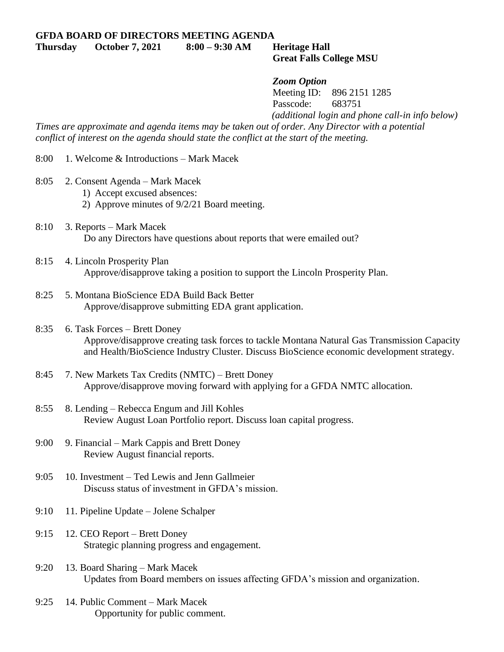**Thursday October 7, 2021 8:00 – 9:30 AM Heritage Hall**

## **Great Falls College MSU**

## *Zoom Option*

Meeting ID: 896 2151 1285 Passcode: 683751 *(additional login and phone call-in info below)*

*Times are approximate and agenda items may be taken out of order. Any Director with a potential conflict of interest on the agenda should state the conflict at the start of the meeting.*

8:00 1. Welcome & Introductions – Mark Macek

- 8:05 2. Consent Agenda Mark Macek
	- 1) Accept excused absences:
	- 2) Approve minutes of 9/2/21 Board meeting.
- 8:10 3. Reports Mark Macek Do any Directors have questions about reports that were emailed out?
- 8:15 4. Lincoln Prosperity Plan Approve/disapprove taking a position to support the Lincoln Prosperity Plan.
- 8:25 5. Montana BioScience EDA Build Back Better Approve/disapprove submitting EDA grant application.
- 8:35 6. Task Forces Brett Doney Approve/disapprove creating task forces to tackle Montana Natural Gas Transmission Capacity and Health/BioScience Industry Cluster. Discuss BioScience economic development strategy.
- 8:45 7. New Markets Tax Credits (NMTC) Brett Doney Approve/disapprove moving forward with applying for a GFDA NMTC allocation.
- 8:55 8. Lending Rebecca Engum and Jill Kohles Review August Loan Portfolio report. Discuss loan capital progress.
- 9:00 9. Financial Mark Cappis and Brett Doney Review August financial reports.
- 9:05 10. Investment Ted Lewis and Jenn Gallmeier Discuss status of investment in GFDA's mission.
- 9:10 11. Pipeline Update Jolene Schalper
- 9:15 12. CEO Report Brett Doney Strategic planning progress and engagement.
- 9:20 13. Board Sharing Mark Macek Updates from Board members on issues affecting GFDA's mission and organization.
- 9:25 14. Public Comment Mark Macek Opportunity for public comment.